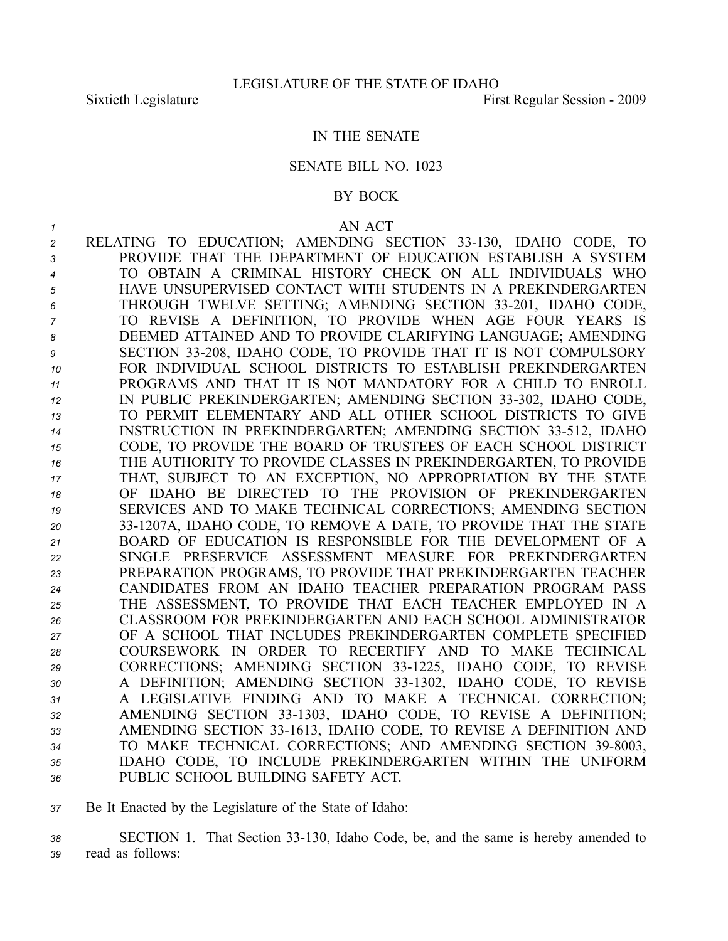## IN THE SENATE

## SENATE BILL NO. 1023

## BY BOCK

*1* AN ACT RELATING TO EDUCATION; AMENDING SECTION 33130, IDAHO CODE, TO PROVIDE THAT THE DEPARTMENT OF EDUCATION ESTABLISH A SYSTEM TO OBTAIN A CRIMINAL HISTORY CHECK ON ALL INDIVIDUALS WHO HAVE UNSUPERVISED CONTACT WITH STUDENTS IN A PREKINDERGARTEN THROUGH TWELVE SETTING; AMENDING SECTION 33201, IDAHO CODE, TO REVISE A DEFINITION, TO PROVIDE WHEN AGE FOUR YEARS IS DEEMED ATTAINED AND TO PROVIDE CLARIFYING LANGUAGE; AMENDING SECTION 33208, IDAHO CODE, TO PROVIDE THAT IT IS NOT COMPULSORY FOR INDIVIDUAL SCHOOL DISTRICTS TO ESTABLISH PREKINDERGARTEN PROGRAMS AND THAT IT IS NOT MANDATORY FOR A CHILD TO ENROLL 12 IN PUBLIC PREKINDERGARTEN; AMENDING SECTION 33-302, IDAHO CODE, TO PERMIT ELEMENTARY AND ALL OTHER SCHOOL DISTRICTS TO GIVE 14 INSTRUCTION IN PREKINDERGARTEN; AMENDING SECTION 33-512, IDAHO CODE, TO PROVIDE THE BOARD OF TRUSTEES OF EACH SCHOOL DISTRICT THE AUTHORITY TO PROVIDE CLASSES IN PREKINDERGARTEN, TO PROVIDE THAT, SUBJECT TO AN EXCEPTION, NO APPROPRIATION BY THE STATE OF IDAHO BE DIRECTED TO THE PROVISION OF PREKINDERGARTEN SERVICES AND TO MAKE TECHNICAL CORRECTIONS; AMENDING SECTION 331207A, IDAHO CODE, TO REMOVE A DATE, TO PROVIDE THAT THE STATE BOARD OF EDUCATION IS RESPONSIBLE FOR THE DEVELOPMENT OF A SINGLE PRESERVICE ASSESSMENT MEASURE FOR PREKINDERGARTEN PREPARATION PROGRAMS, TO PROVIDE THAT PREKINDERGARTEN TEACHER CANDIDATES FROM AN IDAHO TEACHER PREPARATION PROGRAM PASS THE ASSESSMENT, TO PROVIDE THAT EACH TEACHER EMPLOYED IN A CLASSROOM FOR PREKINDERGARTEN AND EACH SCHOOL ADMINISTRATOR OF A SCHOOL THAT INCLUDES PREKINDERGARTEN COMPLETE SPECIFIED COURSEWORK IN ORDER TO RECERTIFY AND TO MAKE TECHNICAL CORRECTIONS; AMENDING SECTION 331225, IDAHO CODE, TO REVISE 30 A DEFINITION; AMENDING SECTION 33-1302, IDAHO CODE, TO REVISE A LEGISLATIVE FINDING AND TO MAKE A TECHNICAL CORRECTION; 32 AMENDING SECTION 33-1303, IDAHO CODE, TO REVISE A DEFINITION; AMENDING SECTION 331613, IDAHO CODE, TO REVISE A DEFINITION AND 34 TO MAKE TECHNICAL CORRECTIONS; AND AMENDING SECTION 39-8003, IDAHO CODE, TO INCLUDE PREKINDERGARTEN WITHIN THE UNIFORM PUBLIC SCHOOL BUILDING SAFETY ACT.

*<sup>37</sup>* Be It Enacted by the Legislature of the State of Idaho:

*<sup>38</sup>* SECTION 1. That Section 33130, Idaho Code, be, and the same is hereby amended to *<sup>39</sup>* read as follows: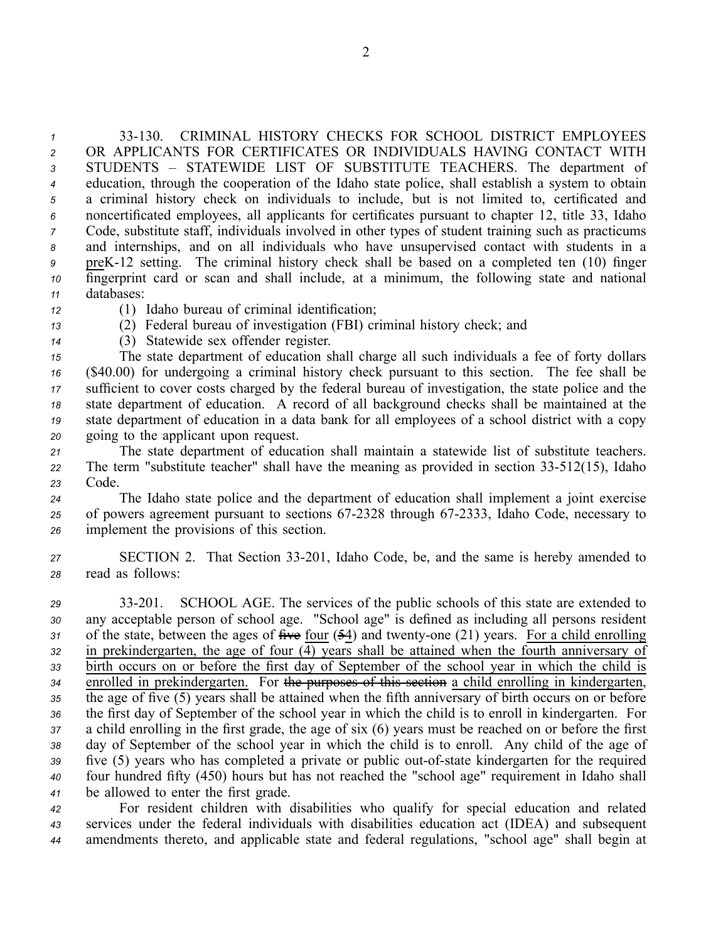33130. CRIMINAL HISTORY CHECKS FOR SCHOOL DISTRICT EMPLOYEES OR APPLICANTS FOR CERTIFICATES OR INDIVIDUALS HAVING CONTACT WITH STUDENTS – STATEWIDE LIST OF SUBSTITUTE TEACHERS. The department of education, through the cooperation of the Idaho state police, shall establish <sup>a</sup> system to obtain <sup>a</sup> criminal history check on individuals to include, but is not limited to, certificated and noncertificated employees, all applicants for certificates pursuan<sup>t</sup> to chapter 12, title 33, Idaho Code, substitute staff, individuals involved in other types of student training such as practicums and internships, and on all individuals who have unsupervised contact with students in <sup>a</sup> preK12 setting. The criminal history check shall be based on <sup>a</sup> completed ten (10) finger fingerprint card or scan and shall include, at <sup>a</sup> minimum, the following state and national databases:

- *<sup>12</sup>* (1) Idaho bureau of criminal identification;
- *<sup>13</sup>* (2) Federal bureau of investigation (FBI) criminal history check; and
- *<sup>14</sup>* (3) Statewide sex offender register.

 The state department of education shall charge all such individuals <sup>a</sup> fee of forty dollars (\$40.00) for undergoing <sup>a</sup> criminal history check pursuan<sup>t</sup> to this section. The fee shall be sufficient to cover costs charged by the federal bureau of investigation, the state police and the state department of education. A record of all background checks shall be maintained at the state department of education in <sup>a</sup> data bank for all employees of <sup>a</sup> school district with <sup>a</sup> copy going to the applicant upon request.

*<sup>21</sup>* The state department of education shall maintain <sup>a</sup> statewide list of substitute teachers. *<sup>22</sup>* The term "substitute teacher" shall have the meaning as provided in section 33512(15), Idaho *<sup>23</sup>* Code.

*<sup>24</sup>* The Idaho state police and the department of education shall implement <sup>a</sup> joint exercise 25 of powers agreement pursuant to sections 67-2328 through 67-2333, Idaho Code, necessary to *<sup>26</sup>* implement the provisions of this section.

*<sup>27</sup>* SECTION 2. That Section 33201, Idaho Code, be, and the same is hereby amended to *<sup>28</sup>* read as follows:

 33201. SCHOOL AGE. The services of the public schools of this state are extended to any acceptable person of school age. "School age" is defined as including all persons resident of the state, between the ages of  $\frac{24}{10}$  four ( $\frac{54}{10}$ ) and twenty-one (21) years. For a child enrolling in prekindergarten, the age of four (4) years shall be attained when the fourth anniversary of birth occurs on or before the first day of September of the school year in which the child is enrolled in prekindergarten. For the purposes of this section <sup>a</sup> child enrolling in kindergarten, the age of five (5) years shall be attained when the fifth anniversary of birth occurs on or before the first day of September of the school year in which the child is to enroll in kindergarten. For <sup>a</sup> child enrolling in the first grade, the age of six (6) years must be reached on or before the first day of September of the school year in which the child is to enroll. Any child of the age of 39 five (5) years who has completed a private or public out-of-state kindergarten for the required four hundred fifty (450) hours but has not reached the "school age" requirement in Idaho shall be allowed to enter the first grade.

*<sup>42</sup>* For resident children with disabilities who qualify for special education and related *<sup>43</sup>* services under the federal individuals with disabilities education act (IDEA) and subsequent *<sup>44</sup>* amendments thereto, and applicable state and federal regulations, "school age" shall begin at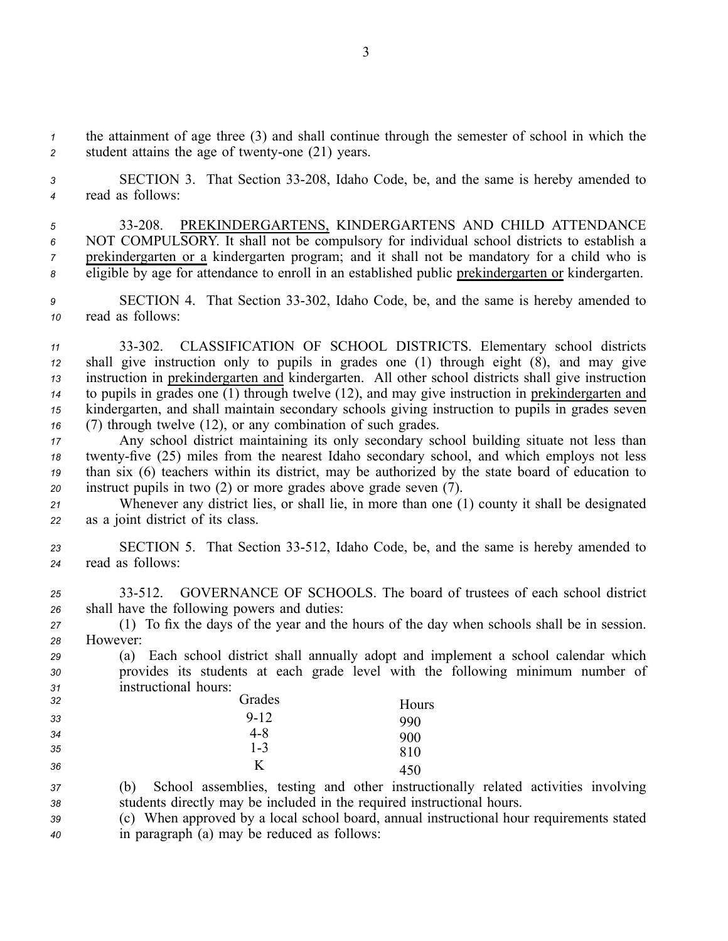*<sup>1</sup>* the attainment of age three (3) and shall continue through the semester of school in which the 2 student attains the age of twenty-one (21) years.

*<sup>3</sup>* SECTION 3. That Section 33208, Idaho Code, be, and the same is hereby amended to *<sup>4</sup>* read as follows:

 33208. PREKINDERGARTENS, KINDERGARTENS AND CHILD ATTENDANCE NOT COMPULSORY. It shall not be compulsory for individual school districts to establish <sup>a</sup> prekindergarten or <sup>a</sup> kindergarten program; and it shall not be mandatory for <sup>a</sup> child who is eligible by age for attendance to enroll in an established public prekindergarten or kindergarten.

*<sup>9</sup>* SECTION 4. That Section 33302, Idaho Code, be, and the same is hereby amended to *<sup>10</sup>* read as follows:

 33302. CLASSIFICATION OF SCHOOL DISTRICTS. Elementary school districts shall give instruction only to pupils in grades one (1) through eight (8), and may give instruction in prekindergarten and kindergarten. All other school districts shall give instruction to pupils in grades one (1) through twelve (12), and may give instruction in prekindergarten and kindergarten, and shall maintain secondary schools giving instruction to pupils in grades seven (7) through twelve (12), or any combination of such grades.

 Any school district maintaining its only secondary school building situate not less than 18 twenty-five (25) miles from the nearest Idaho secondary school, and which employs not less than six (6) teachers within its district, may be authorized by the state board of education to instruct pupils in two (2) or more grades above grade seven (7).

*<sup>21</sup>* Whenever any district lies, or shall lie, in more than one (1) county it shall be designated *<sup>22</sup>* as <sup>a</sup> joint district of its class.

23 **SECTION 5.** That Section 33-512, Idaho Code, be, and the same is hereby amended to *<sup>24</sup>* read as follows:

*<sup>25</sup>* 33512. GOVERNANCE OF SCHOOLS. The board of trustees of each school district *<sup>26</sup>* shall have the following powers and duties:

*<sup>27</sup>* (1) To fix the days of the year and the hours of the day when schools shall be in session. *28* However:

*<sup>29</sup>* (a) Each school district shall annually adopt and implement <sup>a</sup> school calendar which *<sup>30</sup>* provides its students at each grade level with the following minimum number of *<sup>31</sup>* instructional hours:

| 32 | Grades   | Hours |
|----|----------|-------|
| 33 | $9 - 12$ | 990   |
| 34 | 4-8      | 900   |
| 35 | $1 - 3$  | 810   |
| 36 | K        | 450   |

*<sup>37</sup>* (b) School assemblies, testing and other instructionally related activities involving *<sup>38</sup>* students directly may be included in the required instructional hours.

*<sup>39</sup>* (c) When approved by <sup>a</sup> local school board, annual instructional hour requirements stated *<sup>40</sup>* in paragraph (a) may be reduced as follows: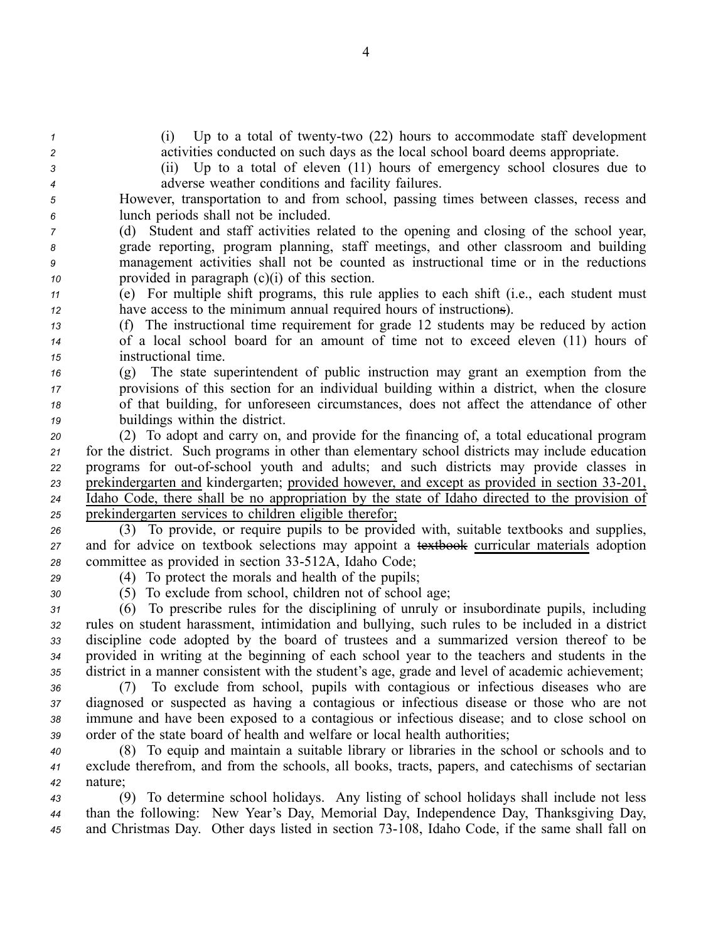| $\mathbf{1}$   | Up to a total of twenty-two $(22)$ hours to accommodate staff development<br>(1)                 |
|----------------|--------------------------------------------------------------------------------------------------|
| $\overline{c}$ | activities conducted on such days as the local school board deems appropriate.                   |
| 3              | (ii) Up to a total of eleven (11) hours of emergency school closures due to                      |
| 4              | adverse weather conditions and facility failures.                                                |
| 5              | However, transportation to and from school, passing times between classes, recess and            |
| 6              | lunch periods shall not be included.                                                             |
| 7              | (d) Student and staff activities related to the opening and closing of the school year,          |
| 8              | grade reporting, program planning, staff meetings, and other classroom and building              |
| 9              | management activities shall not be counted as instructional time or in the reductions            |
| 10             | provided in paragraph $(c)(i)$ of this section.                                                  |
| 11             | (e) For multiple shift programs, this rule applies to each shift (i.e., each student must        |
| 12             | have access to the minimum annual required hours of instructions).                               |
| 13             | (f) The instructional time requirement for grade 12 students may be reduced by action            |
| 14             | of a local school board for an amount of time not to exceed eleven (11) hours of                 |
| 15             | instructional time.                                                                              |
| 16             | (g) The state superintendent of public instruction may grant an exemption from the               |
| 17             | provisions of this section for an individual building within a district, when the closure        |
| 18             | of that building, for unforeseen circumstances, does not affect the attendance of other          |
| 19             | buildings within the district.                                                                   |
| 20             | (2) To adopt and carry on, and provide for the financing of, a total educational program         |
| 21             | for the district. Such programs in other than elementary school districts may include education  |
| 22             | programs for out-of-school youth and adults; and such districts may provide classes in           |
| 23             | prekindergarten and kindergarten; provided however, and except as provided in section 33-201,    |
| 24             | Idaho Code, there shall be no appropriation by the state of Idaho directed to the provision of   |
| 25             | prekindergarten services to children eligible therefor;                                          |
| 26             | (3) To provide, or require pupils to be provided with, suitable textbooks and supplies,          |
| 27             | and for advice on textbook selections may appoint a textbook curricular materials adoption       |
| 28             | committee as provided in section 33-512A, Idaho Code;                                            |
| 29             | (4) To protect the morals and health of the pupils;                                              |
| 30             | (5) To exclude from school, children not of school age;                                          |
| 31             | (6) To prescribe rules for the disciplining of unruly or insubordinate pupils, including         |
| 32             | rules on student harassment, intimidation and bullying, such rules to be included in a district  |
| 33             | discipline code adopted by the board of trustees and a summarized version thereof to be          |
| 34             | provided in writing at the beginning of each school year to the teachers and students in the     |
| 35             | district in a manner consistent with the student's age, grade and level of academic achievement; |
| 36             | (7) To exclude from school, pupils with contagious or infectious diseases who are                |
| 37             | diagnosed or suspected as having a contagious or infectious disease or those who are not         |
| 38             | immune and have been exposed to a contagious or infectious disease; and to close school on       |
| 39             | order of the state board of health and welfare or local health authorities;                      |
| 40             | (8) To equip and maintain a suitable library or libraries in the school or schools and to        |
| 41             | exclude therefrom, and from the schools, all books, tracts, papers, and catechisms of sectarian  |
| 42             | nature;                                                                                          |
| 43             | (9) To determine school holidays. Any listing of school holidays shall include not less          |
| 44             | than the following: New Year's Day, Memorial Day, Independence Day, Thanksgiving Day,            |

45 and Christmas Day. Other days listed in section 73-108, Idaho Code, if the same shall fall on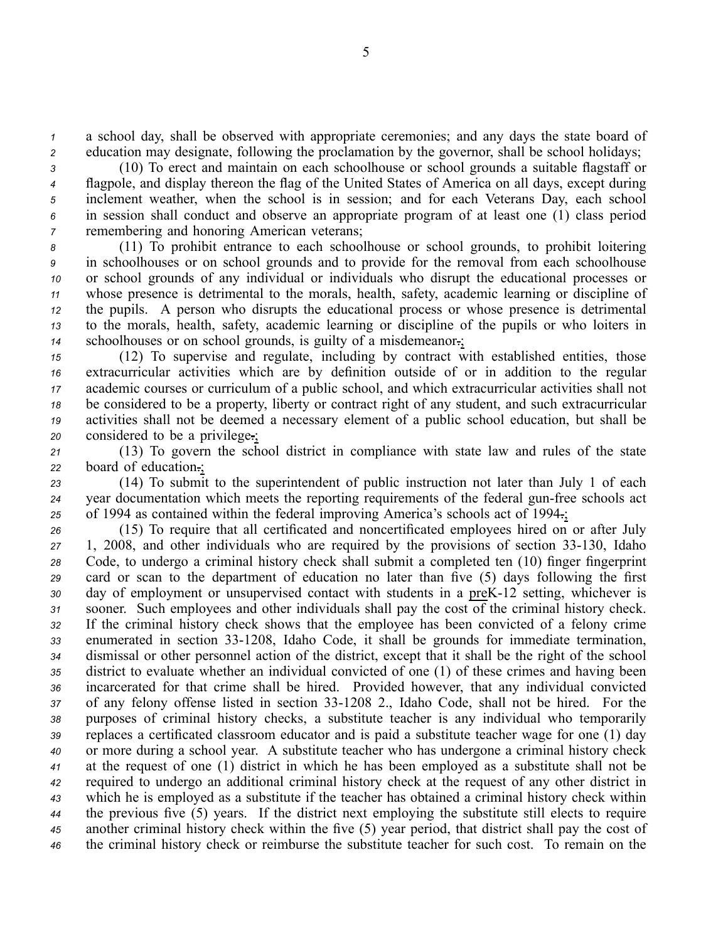*<sup>1</sup>* <sup>a</sup> school day, shall be observed with appropriate ceremonies; and any days the state board of *<sup>2</sup>* education may designate, following the proclamation by the governor, shall be school holidays;

 (10) To erect and maintain on each schoolhouse or school grounds <sup>a</sup> suitable flagstaff or flagpole, and display thereon the flag of the United States of America on all days, excep<sup>t</sup> during inclement weather, when the school is in session; and for each Veterans Day, each school in session shall conduct and observe an appropriate program of at least one (1) class period remembering and honoring American veterans;

 (11) To prohibit entrance to each schoolhouse or school grounds, to prohibit loitering in schoolhouses or on school grounds and to provide for the removal from each schoolhouse or school grounds of any individual or individuals who disrupt the educational processes or whose presence is detrimental to the morals, health, safety, academic learning or discipline of the pupils. A person who disrupts the educational process or whose presence is detrimental to the morals, health, safety, academic learning or discipline of the pupils or who loiters in schoolhouses or on school grounds, is guilty of <sup>a</sup> misdemeanor.;

 (12) To supervise and regulate, including by contract with established entities, those extracurricular activities which are by definition outside of or in addition to the regular academic courses or curriculum of <sup>a</sup> public school, and which extracurricular activities shall not be considered to be <sup>a</sup> property, liberty or contract right of any student, and such extracurricular activities shall not be deemed <sup>a</sup> necessary element of <sup>a</sup> public school education, but shall be considered to be <sup>a</sup> privilege.;

*<sup>21</sup>* (13) To govern the school district in compliance with state law and rules of the state *<sup>22</sup>* board of education.;

*<sup>23</sup>* (14) To submit to the superintendent of public instruction not later than July 1 of each 24 vear documentation which meets the reporting requirements of the federal gun-free schools act *<sup>25</sup>* of 1994 as contained within the federal improving America's schools act of 1994.;

 (15) To require that all certificated and noncertificated employees hired on or after July 27 1, 2008, and other individuals who are required by the provisions of section 33-130, Idaho Code, to undergo <sup>a</sup> criminal history check shall submit <sup>a</sup> completed ten (10) finger fingerprint card or scan to the department of education no later than five (5) days following the first day of employment or unsupervised contact with students in a preK-12 setting, whichever is sooner. Such employees and other individuals shall pay the cost of the criminal history check. If the criminal history check shows that the employee has been convicted of <sup>a</sup> felony crime 33 enumerated in section 33-1208, Idaho Code, it shall be grounds for immediate termination, dismissal or other personnel action of the district, excep<sup>t</sup> that it shall be the right of the school district to evaluate whether an individual convicted of one (1) of these crimes and having been incarcerated for that crime shall be hired. Provided however, that any individual convicted 37 of any felony offense listed in section 33-1208 2., Idaho Code, shall not be hired. For the purposes of criminal history checks, <sup>a</sup> substitute teacher is any individual who temporarily replaces <sup>a</sup> certificated classroom educator and is paid <sup>a</sup> substitute teacher wage for one (1) day or more during <sup>a</sup> school year. A substitute teacher who has undergone <sup>a</sup> criminal history check at the reques<sup>t</sup> of one (1) district in which he has been employed as <sup>a</sup> substitute shall not be required to undergo an additional criminal history check at the reques<sup>t</sup> of any other district in which he is employed as <sup>a</sup> substitute if the teacher has obtained <sup>a</sup> criminal history check within the previous five (5) years. If the district next employing the substitute still elects to require another criminal history check within the five (5) year period, that district shall pay the cost of the criminal history check or reimburse the substitute teacher for such cost. To remain on the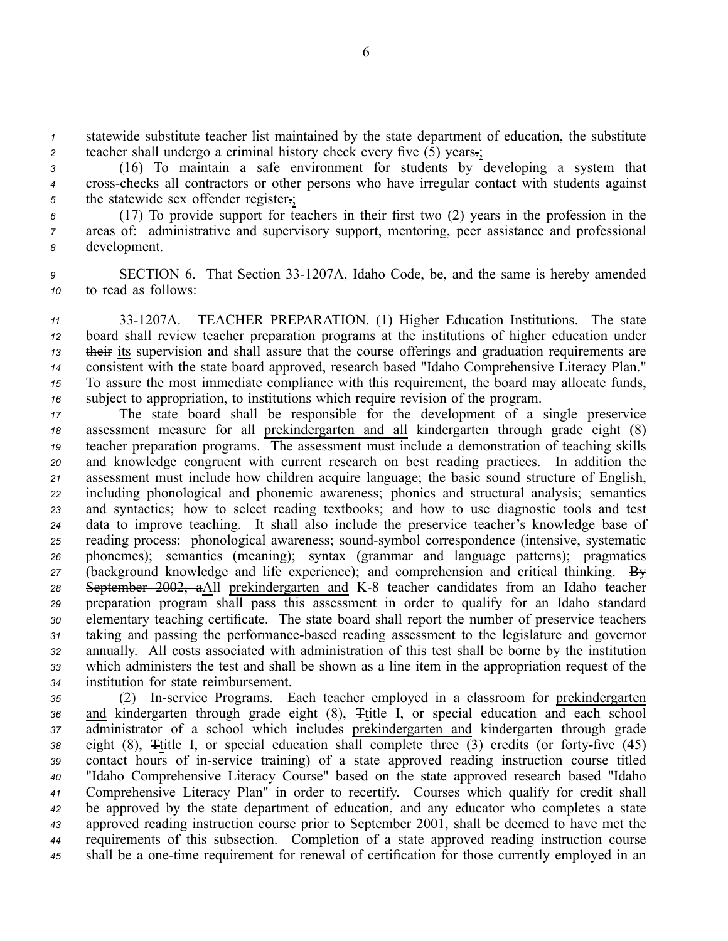*<sup>1</sup>* statewide substitute teacher list maintained by the state department of education, the substitute *<sup>2</sup>* teacher shall undergo <sup>a</sup> criminal history check every five (5) years.;

*<sup>3</sup>* (16) To maintain <sup>a</sup> safe environment for students by developing <sup>a</sup> system that *<sup>4</sup>* crosschecks all contractors or other persons who have irregular contact with students against *<sup>5</sup>* the statewide sex offender register.;

*<sup>6</sup>* (17) To provide suppor<sup>t</sup> for teachers in their first two (2) years in the profession in the *<sup>7</sup>* areas of: administrative and supervisory support, mentoring, peer assistance and professional *<sup>8</sup>* development.

9 SECTION 6. That Section 33-1207A, Idaho Code, be, and the same is hereby amended *<sup>10</sup>* to read as follows:

 331207A. TEACHER PREPARATION. (1) Higher Education Institutions. The state board shall review teacher preparation programs at the institutions of higher education under their its supervision and shall assure that the course offerings and graduation requirements are consistent with the state board approved, research based "Idaho Comprehensive Literacy Plan." To assure the most immediate compliance with this requirement, the board may allocate funds, subject to appropriation, to institutions which require revision of the program.

 The state board shall be responsible for the development of <sup>a</sup> single preservice assessment measure for all prekindergarten and all kindergarten through grade eight (8) teacher preparation programs. The assessment must include <sup>a</sup> demonstration of teaching skills and knowledge congruen<sup>t</sup> with current research on best reading practices. In addition the assessment must include how children acquire language; the basic sound structure of English, including phonological and phonemic awareness; phonics and structural analysis; semantics and syntactics; how to select reading textbooks; and how to use diagnostic tools and test data to improve teaching. It shall also include the preservice teacher's knowledge base of 25 reading process: phonological awareness; sound-symbol correspondence (intensive, systematic phonemes); semantics (meaning); syntax (grammar and language patterns); pragmatics (background knowledge and life experience); and comprehension and critical thinking. By 28 September 2002, aAll prekindergarten and K-8 teacher candidates from an Idaho teacher preparation program shall pass this assessment in order to qualify for an Idaho standard elementary teaching certificate. The state board shall repor<sup>t</sup> the number of preservice teachers taking and passing the performancebased reading assessment to the legislature and governor annually. All costs associated with administration of this test shall be borne by the institution which administers the test and shall be shown as <sup>a</sup> line item in the appropriation reques<sup>t</sup> of the institution for state reimbursement.

 (2) Inservice Programs. Each teacher employed in <sup>a</sup> classroom for prekindergarten 36 and kindergarten through grade eight (8),  $\pm$ title I, or special education and each school administrator of <sup>a</sup> school which includes prekindergarten and kindergarten through grade eight (8),  $\overline{\text{F}}$ title I, or special education shall complete three (3) credits (or forty-five (45) 39 contact hours of in-service training) of a state approved reading instruction course titled "Idaho Comprehensive Literacy Course" based on the state approved research based "Idaho Comprehensive Literacy Plan" in order to recertify. Courses which qualify for credit shall be approved by the state department of education, and any educator who completes <sup>a</sup> state approved reading instruction course prior to September 2001, shall be deemed to have met the requirements of this subsection. Completion of <sup>a</sup> state approved reading instruction course shall be a one-time requirement for renewal of certification for those currently employed in an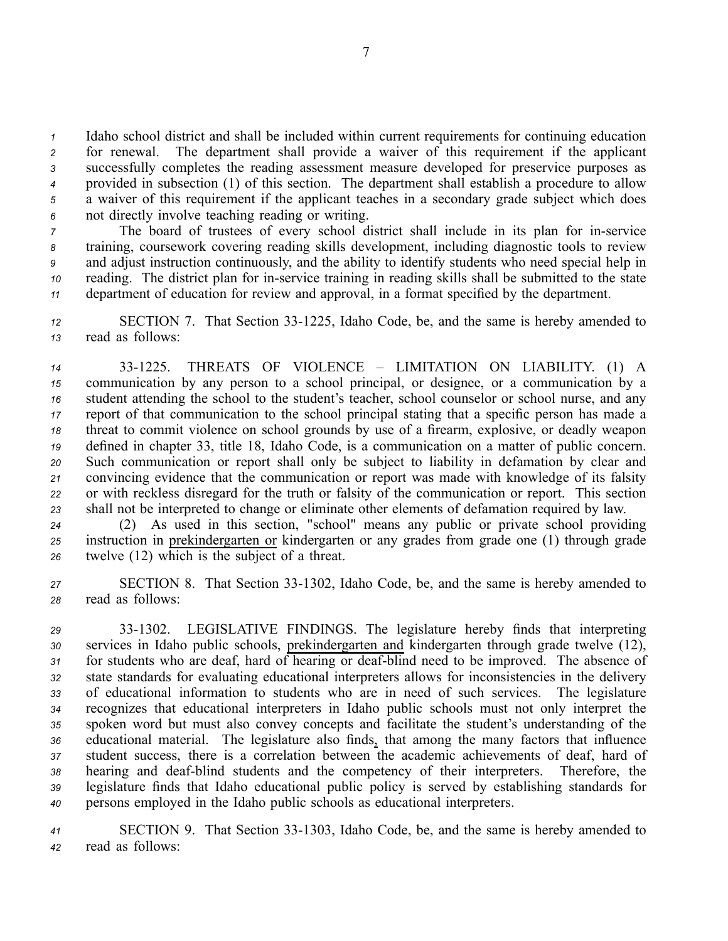Idaho school district and shall be included within current requirements for continuing education for renewal. The department shall provide <sup>a</sup> waiver of this requirement if the applicant successfully completes the reading assessment measure developed for preservice purposes as provided in subsection (1) of this section. The department shall establish <sup>a</sup> procedure to allow <sup>a</sup> waiver of this requirement if the applicant teaches in <sup>a</sup> secondary grade subject which does not directly involve teaching reading or writing.

 The board of trustees of every school district shall include in its plan for in-service training, coursework covering reading skills development, including diagnostic tools to review and adjust instruction continuously, and the ability to identify students who need special help in reading. The district plan for in-service training in reading skills shall be submitted to the state department of education for review and approval, in <sup>a</sup> format specified by the department.

*<sup>12</sup>* SECTION 7. That Section 331225, Idaho Code, be, and the same is hereby amended to *<sup>13</sup>* read as follows:

 331225. THREATS OF VIOLENCE – LIMITATION ON LIABILITY. (1) A communication by any person to <sup>a</sup> school principal, or designee, or <sup>a</sup> communication by <sup>a</sup> student attending the school to the student's teacher, school counselor or school nurse, and any repor<sup>t</sup> of that communication to the school principal stating that <sup>a</sup> specific person has made <sup>a</sup> threat to commit violence on school grounds by use of <sup>a</sup> firearm, explosive, or deadly weapon defined in chapter 33, title 18, Idaho Code, is <sup>a</sup> communication on <sup>a</sup> matter of public concern. Such communication or repor<sup>t</sup> shall only be subject to liability in defamation by clear and convincing evidence that the communication or repor<sup>t</sup> was made with knowledge of its falsity or with reckless disregard for the truth or falsity of the communication or report. This section shall not be interpreted to change or eliminate other elements of defamation required by law.

*<sup>24</sup>* (2) As used in this section, "school" means any public or private school providing *<sup>25</sup>* instruction in prekindergarten or kindergarten or any grades from grade one (1) through grade *<sup>26</sup>* twelve (12) which is the subject of <sup>a</sup> threat.

*<sup>27</sup>* SECTION 8. That Section 331302, Idaho Code, be, and the same is hereby amended to *<sup>28</sup>* read as follows:

 331302. LEGISLATIVE FINDINGS. The legislature hereby finds that interpreting services in Idaho public schools, prekindergarten and kindergarten through grade twelve (12), 31 for students who are deaf, hard of hearing or deaf-blind need to be improved. The absence of state standards for evaluating educational interpreters allows for inconsistencies in the delivery of educational information to students who are in need of such services. The legislature recognizes that educational interpreters in Idaho public schools must not only interpret the spoken word but must also convey concepts and facilitate the student's understanding of the educational material. The legislature also finds, that among the many factors that influence student success, there is <sup>a</sup> correlation between the academic achievements of deaf, hard of hearing and deafblind students and the competency of their interpreters. Therefore, the legislature finds that Idaho educational public policy is served by establishing standards for persons employed in the Idaho public schools as educational interpreters.

*<sup>41</sup>* SECTION 9. That Section 331303, Idaho Code, be, and the same is hereby amended to *<sup>42</sup>* read as follows: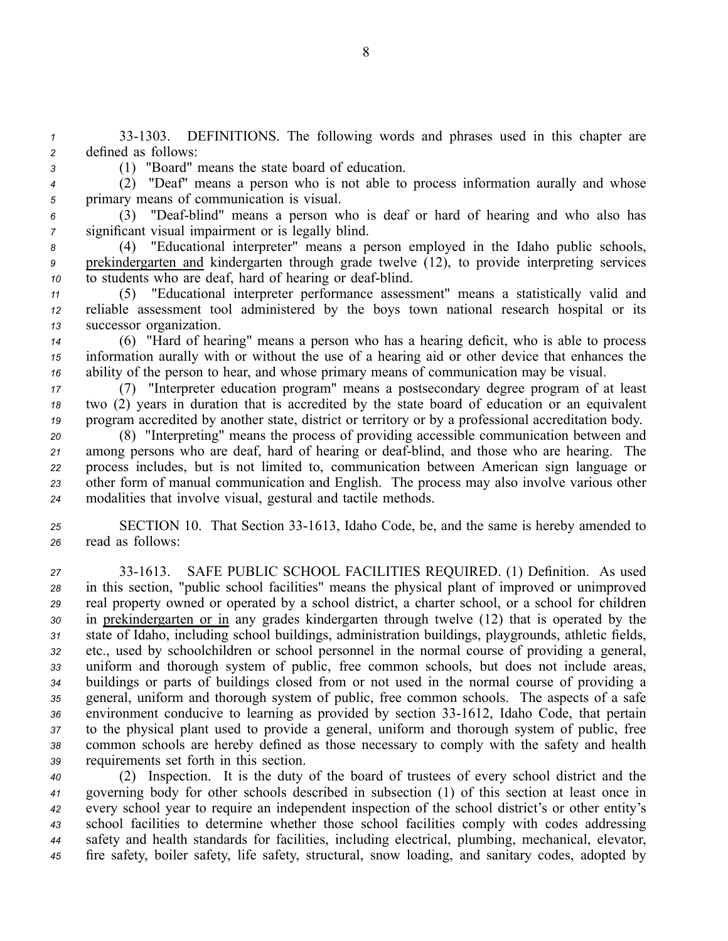*<sup>1</sup>* 331303. DEFINITIONS. The following words and phrases used in this chapter are *<sup>2</sup>* defined as follows:

*<sup>3</sup>* (1) "Board" means the state board of education.

*<sup>4</sup>* (2) "Deaf" means <sup>a</sup> person who is not able to process information aurally and whose *<sup>5</sup>* primary means of communication is visual.

*<sup>6</sup>* (3) "Deafblind" means <sup>a</sup> person who is deaf or hard of hearing and who also has *<sup>7</sup>* significant visual impairment or is legally blind.

*<sup>8</sup>* (4) "Educational interpreter" means <sup>a</sup> person employed in the Idaho public schools, *<sup>9</sup>* prekindergarten and kindergarten through grade twelve (12), to provide interpreting services *10* to students who are deaf, hard of hearing or deaf-blind.

*<sup>11</sup>* (5) "Educational interpreter performance assessment" means <sup>a</sup> statistically valid and *<sup>12</sup>* reliable assessment tool administered by the boys town national research hospital or its *<sup>13</sup>* successor organization.

*<sup>14</sup>* (6) "Hard of hearing" means <sup>a</sup> person who has <sup>a</sup> hearing deficit, who is able to process *<sup>15</sup>* information aurally with or without the use of <sup>a</sup> hearing aid or other device that enhances the *<sup>16</sup>* ability of the person to hear, and whose primary means of communication may be visual.

*<sup>17</sup>* (7) "Interpreter education program" means <sup>a</sup> postsecondary degree program of at least *<sup>18</sup>* two (2) years in duration that is accredited by the state board of education or an equivalent *<sup>19</sup>* program accredited by another state, district or territory or by <sup>a</sup> professional accreditation body.

 (8) "Interpreting" means the process of providing accessible communication between and 21 among persons who are deaf, hard of hearing or deaf-blind, and those who are hearing. The process includes, but is not limited to, communication between American sign language or other form of manual communication and English. The process may also involve various other modalities that involve visual, gestural and tactile methods.

*<sup>25</sup>* SECTION 10. That Section 331613, Idaho Code, be, and the same is hereby amended to *<sup>26</sup>* read as follows:

 331613. SAFE PUBLIC SCHOOL FACILITIES REQUIRED. (1) Definition. As used in this section, "public school facilities" means the physical plant of improved or unimproved real property owned or operated by <sup>a</sup> school district, <sup>a</sup> charter school, or <sup>a</sup> school for children in prekindergarten or in any grades kindergarten through twelve (12) that is operated by the state of Idaho, including school buildings, administration buildings, playgrounds, athletic fields, etc., used by schoolchildren or school personnel in the normal course of providing <sup>a</sup> general, uniform and thorough system of public, free common schools, but does not include areas, buildings or parts of buildings closed from or not used in the normal course of providing <sup>a</sup> general, uniform and thorough system of public, free common schools. The aspects of <sup>a</sup> safe 36 environment conducive to learning as provided by section 33-1612, Idaho Code, that pertain to the physical plant used to provide <sup>a</sup> general, uniform and thorough system of public, free common schools are hereby defined as those necessary to comply with the safety and health requirements set forth in this section.

 (2) Inspection. It is the duty of the board of trustees of every school district and the governing body for other schools described in subsection (1) of this section at least once in every school year to require an independent inspection of the school district's or other entity's school facilities to determine whether those school facilities comply with codes addressing safety and health standards for facilities, including electrical, plumbing, mechanical, elevator, fire safety, boiler safety, life safety, structural, snow loading, and sanitary codes, adopted by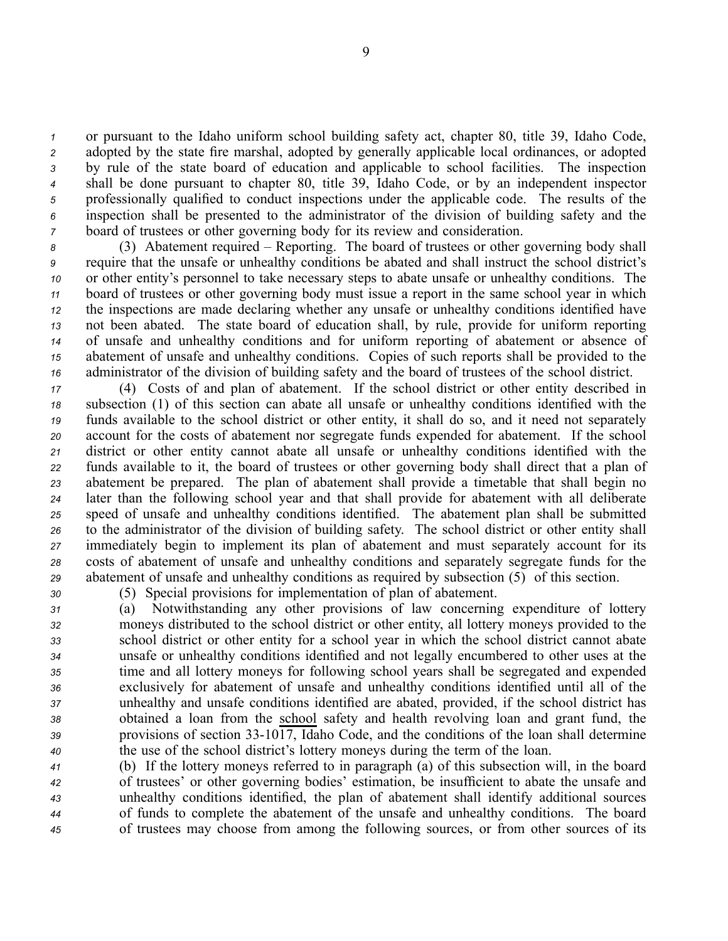or pursuan<sup>t</sup> to the Idaho uniform school building safety act, chapter 80, title 39, Idaho Code, adopted by the state fire marshal, adopted by generally applicable local ordinances, or adopted by rule of the state board of education and applicable to school facilities. The inspection shall be done pursuan<sup>t</sup> to chapter 80, title 39, Idaho Code, or by an independent inspector professionally qualified to conduct inspections under the applicable code. The results of the inspection shall be presented to the administrator of the division of building safety and the board of trustees or other governing body for its review and consideration.

 (3) Abatement required – Reporting. The board of trustees or other governing body shall require that the unsafe or unhealthy conditions be abated and shall instruct the school district's or other entity's personnel to take necessary steps to abate unsafe or unhealthy conditions. The board of trustees or other governing body must issue <sup>a</sup> repor<sup>t</sup> in the same school year in which the inspections are made declaring whether any unsafe or unhealthy conditions identified have not been abated. The state board of education shall, by rule, provide for uniform reporting of unsafe and unhealthy conditions and for uniform reporting of abatement or absence of abatement of unsafe and unhealthy conditions. Copies of such reports shall be provided to the administrator of the division of building safety and the board of trustees of the school district.

 (4) Costs of and plan of abatement. If the school district or other entity described in subsection (1) of this section can abate all unsafe or unhealthy conditions identified with the funds available to the school district or other entity, it shall do so, and it need not separately account for the costs of abatement nor segregate funds expended for abatement. If the school district or other entity cannot abate all unsafe or unhealthy conditions identified with the funds available to it, the board of trustees or other governing body shall direct that <sup>a</sup> plan of abatement be prepared. The plan of abatement shall provide <sup>a</sup> timetable that shall begin no later than the following school year and that shall provide for abatement with all deliberate speed of unsafe and unhealthy conditions identified. The abatement plan shall be submitted to the administrator of the division of building safety. The school district or other entity shall immediately begin to implement its plan of abatement and must separately account for its costs of abatement of unsafe and unhealthy conditions and separately segregate funds for the abatement of unsafe and unhealthy conditions as required by subsection (5) of this section.

*<sup>30</sup>* (5) Special provisions for implementation of plan of abatement.

 (a) Notwithstanding any other provisions of law concerning expenditure of lottery moneys distributed to the school district or other entity, all lottery moneys provided to the school district or other entity for <sup>a</sup> school year in which the school district cannot abate unsafe or unhealthy conditions identified and not legally encumbered to other uses at the time and all lottery moneys for following school years shall be segregated and expended exclusively for abatement of unsafe and unhealthy conditions identified until all of the unhealthy and unsafe conditions identified are abated, provided, if the school district has obtained <sup>a</sup> loan from the school safety and health revolving loan and gran<sup>t</sup> fund, the 39 provisions of section 33-1017, Idaho Code, and the conditions of the loan shall determine the use of the school district's lottery moneys during the term of the loan.

 (b) If the lottery moneys referred to in paragraph (a) of this subsection will, in the board of trustees' or other governing bodies' estimation, be insufficient to abate the unsafe and unhealthy conditions identified, the plan of abatement shall identify additional sources of funds to complete the abatement of the unsafe and unhealthy conditions. The board of trustees may choose from among the following sources, or from other sources of its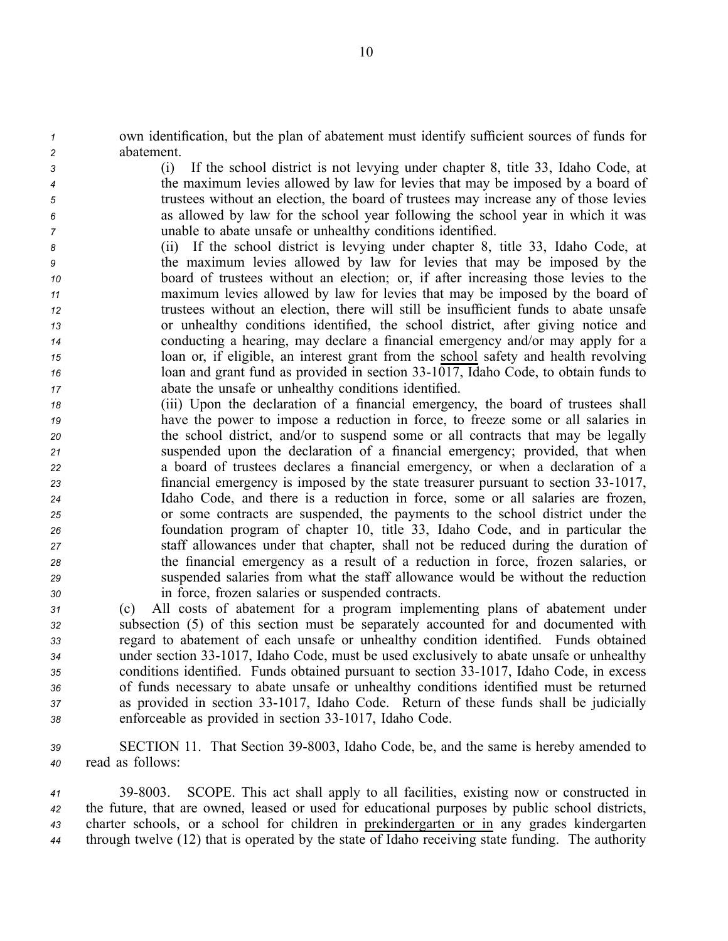*<sup>1</sup>* own identification, but the plan of abatement must identify sufficient sources of funds for *<sup>2</sup>* abatement.

 (i) If the school district is not levying under chapter 8, title 33, Idaho Code, at the maximum levies allowed by law for levies that may be imposed by <sup>a</sup> board of trustees without an election, the board of trustees may increase any of those levies as allowed by law for the school year following the school year in which it was unable to abate unsafe or unhealthy conditions identified.

- *<sup>8</sup>* (ii) If the school district is levying under chapter 8, title 33, Idaho Code, at *<sup>9</sup>* the maximum levies allowed by law for levies that may be imposed by the *<sup>10</sup>* board of trustees without an election; or, if after increasing those levies to the *<sup>11</sup>* maximum levies allowed by law for levies that may be imposed by the board of *<sup>12</sup>* trustees without an election, there will still be insufficient funds to abate unsafe *<sup>13</sup>* or unhealthy conditions identified, the school district, after giving notice and *<sup>14</sup>* conducting <sup>a</sup> hearing, may declare <sup>a</sup> financial emergency and/or may apply for <sup>a</sup> *<sup>15</sup>* loan or, if eligible, an interest gran<sup>t</sup> from the school safety and health revolving *16* loan and grant fund as provided in section 33-1017, Idaho Code, to obtain funds to *<sup>17</sup>* abate the unsafe or unhealthy conditions identified.
- *<sup>18</sup>* (iii) Upon the declaration of <sup>a</sup> financial emergency, the board of trustees shall *<sup>19</sup>* have the power to impose <sup>a</sup> reduction in force, to freeze some or all salaries in *<sup>20</sup>* the school district, and/or to suspend some or all contracts that may be legally *<sup>21</sup>* suspended upon the declaration of <sup>a</sup> financial emergency; provided, that when *<sup>22</sup>* <sup>a</sup> board of trustees declares <sup>a</sup> financial emergency, or when <sup>a</sup> declaration of <sup>a</sup> *23* financial emergency is imposed by the state treasurer pursuant to section 33-1017, *<sup>24</sup>* Idaho Code, and there is <sup>a</sup> reduction in force, some or all salaries are frozen, *<sup>25</sup>* or some contracts are suspended, the payments to the school district under the *<sup>26</sup>* foundation program of chapter 10, title 33, Idaho Code, and in particular the *<sup>27</sup>* staff allowances under that chapter, shall not be reduced during the duration of *<sup>28</sup>* the financial emergency as <sup>a</sup> result of <sup>a</sup> reduction in force, frozen salaries, or *<sup>29</sup>* suspended salaries from what the staff allowance would be without the reduction *<sup>30</sup>* in force, frozen salaries or suspended contracts.

 (c) All costs of abatement for <sup>a</sup> program implementing plans of abatement under subsection (5) of this section must be separately accounted for and documented with regard to abatement of each unsafe or unhealthy condition identified. Funds obtained under section 331017, Idaho Code, must be used exclusively to abate unsafe or unhealthy conditions identified. Funds obtained pursuan<sup>t</sup> to section 331017, Idaho Code, in excess of funds necessary to abate unsafe or unhealthy conditions identified must be returned 37 as provided in section 33-1017, Idaho Code. Return of these funds shall be judicially 38 enforceable as provided in section 33-1017, Idaho Code.

39 **SECTION 11.** That Section 39-8003, Idaho Code, be, and the same is hereby amended to *<sup>40</sup>* read as follows:

 398003. SCOPE. This act shall apply to all facilities, existing now or constructed in the future, that are owned, leased or used for educational purposes by public school districts, charter schools, or <sup>a</sup> school for children in prekindergarten or in any grades kindergarten through twelve (12) that is operated by the state of Idaho receiving state funding. The authority